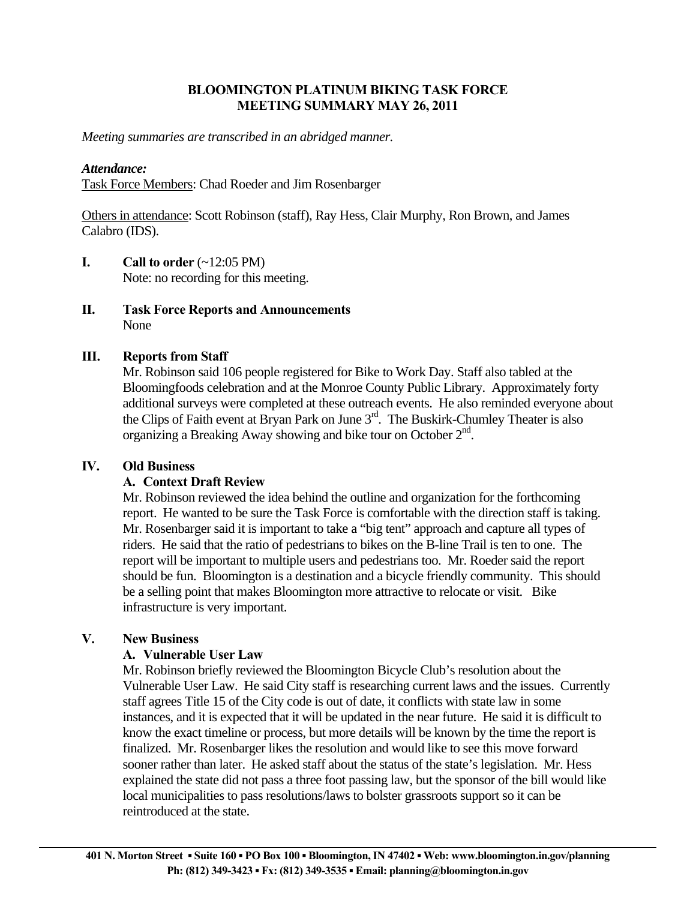## **BLOOMINGTON PLATINUM BIKING TASK FORCE MEETING SUMMARY MAY 26, 2011**

*Meeting summaries are transcribed in an abridged manner.* 

#### *Attendance:*

Task Force Members: Chad Roeder and Jim Rosenbarger

Others in attendance: Scott Robinson (staff), Ray Hess, Clair Murphy, Ron Brown, and James Calabro (IDS).

- **I.** Call to order  $(\sim 12:05 \text{ PM})$ Note: no recording for this meeting.
- **II. Task Force Reports and Announcements**  None

### **III. Reports from Staff**

 Mr. Robinson said 106 people registered for Bike to Work Day. Staff also tabled at the Bloomingfoods celebration and at the Monroe County Public Library. Approximately forty additional surveys were completed at these outreach events. He also reminded everyone about the Clips of Faith event at Bryan Park on June 3<sup>rd</sup>. The Buskirk-Chumley Theater is also organizing a Breaking Away showing and bike tour on October  $2<sup>nd</sup>$ .

### **IV. Old Business**

### **A. Context Draft Review**

Mr. Robinson reviewed the idea behind the outline and organization for the forthcoming report. He wanted to be sure the Task Force is comfortable with the direction staff is taking. Mr. Rosenbarger said it is important to take a "big tent" approach and capture all types of riders. He said that the ratio of pedestrians to bikes on the B-line Trail is ten to one. The report will be important to multiple users and pedestrians too. Mr. Roeder said the report should be fun. Bloomington is a destination and a bicycle friendly community. This should be a selling point that makes Bloomington more attractive to relocate or visit. Bike infrastructure is very important.

### **V. New Business**

### **A. Vulnerable User Law**

Mr. Robinson briefly reviewed the Bloomington Bicycle Club's resolution about the Vulnerable User Law. He said City staff is researching current laws and the issues. Currently staff agrees Title 15 of the City code is out of date, it conflicts with state law in some instances, and it is expected that it will be updated in the near future. He said it is difficult to know the exact timeline or process, but more details will be known by the time the report is finalized. Mr. Rosenbarger likes the resolution and would like to see this move forward sooner rather than later. He asked staff about the status of the state's legislation. Mr. Hess explained the state did not pass a three foot passing law, but the sponsor of the bill would like local municipalities to pass resolutions/laws to bolster grassroots support so it can be reintroduced at the state.